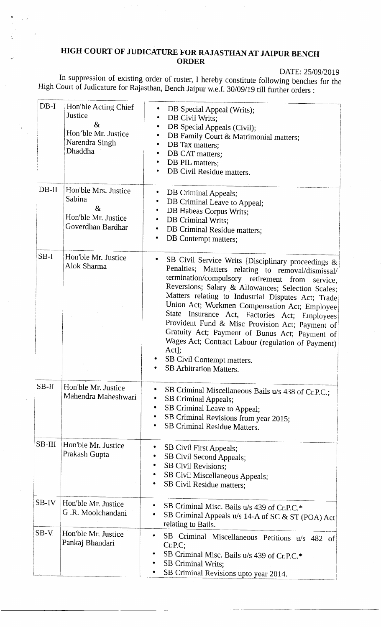## HIGH COURT OF JUDICATURE FOR RAJASTHAN AT JAIPUR BENCH ORDER

DATE: 25/09/2019

In suppression of existing order of roster, I hereby constitute following benches for the High Court of Judicature for Rajasthan, Bench Jaipur w.e.f. 30/0g/1g till further orders :

| $DB-I$   | Hon'ble Acting Chief<br>Justice<br>8 <sub>x</sub><br>Hon'ble Mr. Justice<br>Narendra Singh<br>Dhaddha | DB Special Appeal (Writs);<br>DB Civil Writs;<br>DB Special Appeals (Civil);<br>DB Family Court & Matrimonial matters;<br>DB Tax matters;<br>DB CAT matters;<br>DB PIL matters;<br>٠<br>DB Civil Residue matters.                                                                                                                                                                                                                                                                                                                                                                                                 |
|----------|-------------------------------------------------------------------------------------------------------|-------------------------------------------------------------------------------------------------------------------------------------------------------------------------------------------------------------------------------------------------------------------------------------------------------------------------------------------------------------------------------------------------------------------------------------------------------------------------------------------------------------------------------------------------------------------------------------------------------------------|
| $DB-II$  | Hon'ble Mrs. Justice<br>Sabina<br>8 <sub>x</sub><br>Hon'ble Mr. Justice<br>Goverdhan Bardhar          | ٠<br>DB Criminal Appeals;<br>DB Criminal Leave to Appeal;<br>٠<br>DB Habeas Corpus Writs;<br>٠<br>DB Criminal Writs;<br>٠<br>DB Criminal Residue matters;<br>٠<br>DB Contempt matters;<br>٠                                                                                                                                                                                                                                                                                                                                                                                                                       |
| $SB-I$   | Hon'ble Mr. Justice<br>Alok Sharma                                                                    | ۰<br>SB Civil Service Writs [Disciplinary proceedings &<br>Penalties; Matters relating to removal/dismissal/<br>termination/compulsory retirement from service;<br>Reversions; Salary & Allowances; Selection Scales;<br>Matters relating to Industrial Disputes Act; Trade<br>Union Act; Workmen Compensation Act; Employee<br>State Insurance Act, Factories Act; Employees<br>Provident Fund & Misc Provision Act; Payment of<br>Gratuity Act; Payment of Bonus Act; Payment of<br>Wages Act; Contract Labour (regulation of Payment)<br>Act];<br>SB Civil Contempt matters.<br><b>SB Arbitration Matters.</b> |
| $SB-II$  | Hon'ble Mr. Justice<br>Mahendra Maheshwari                                                            | SB Criminal Miscellaneous Bails u/s 438 of Cr.P.C.;<br>SB Criminal Appeals;<br>٠<br>SB Criminal Leave to Appeal;<br>٠<br>SB Criminal Revisions from year 2015;<br>٠<br><b>SB Criminal Residue Matters.</b>                                                                                                                                                                                                                                                                                                                                                                                                        |
| $SB-III$ | Hon'ble Mr. Justice<br>Prakash Gupta                                                                  | SB Civil First Appeals;<br>SB Civil Second Appeals;<br>٠<br>SB Civil Revisions;<br>SB Civil Miscellaneous Appeals;<br>SB Civil Residue matters;                                                                                                                                                                                                                                                                                                                                                                                                                                                                   |
| SB-IV    | Hon'ble Mr. Justice<br>G.R. Moolchandani                                                              | SB Criminal Misc. Bails u/s 439 of Cr.P.C.*<br>SB Criminal Appeals u/s 14-A of SC & ST (POA) Act<br>relating to Bails.                                                                                                                                                                                                                                                                                                                                                                                                                                                                                            |
| $SB-V$   | Hon'ble Mr. Justice<br>Pankaj Bhandari                                                                | SB Criminal Miscellaneous Petitions u/s 482 of<br>Cr.P.C;<br>SB Criminal Misc. Bails u/s 439 of Cr.P.C.*<br><b>SB Criminal Writs;</b><br>SB Criminal Revisions upto year 2014.                                                                                                                                                                                                                                                                                                                                                                                                                                    |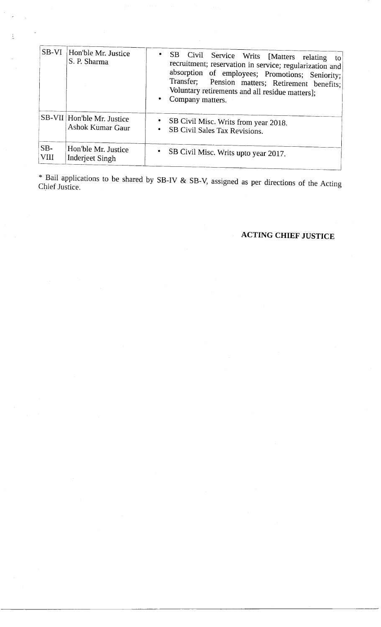| SB-VI         | Hon'ble Mr. Justice<br>S. P. Sharma            | SB Civil Service Writs [Matters relating<br>to<br>recruitment; reservation in service; regularization and<br>absorption of employees; Promotions; Seniority;<br>Transfer; Pension matters; Retirement benefits;<br>Voluntary retirements and all residue matters];<br>Company matters. |
|---------------|------------------------------------------------|----------------------------------------------------------------------------------------------------------------------------------------------------------------------------------------------------------------------------------------------------------------------------------------|
|               | SB-VII Hon'ble Mr. Justice<br>Ashok Kumar Gaur | SB Civil Misc. Writs from year 2018.<br>SB Civil Sales Tax Revisions.                                                                                                                                                                                                                  |
| $SB-$<br>VIII | Hon'ble Mr. Justice<br><b>Inderjeet Singh</b>  | $\bullet$<br>SB Civil Misc. Writs upto year 2017.                                                                                                                                                                                                                                      |

\* Bail applications to be shared by SB-IV & sB-v, assigned as per directions of the Acting Chief Jusrice.

## ACTING CHIEF JUSTICE